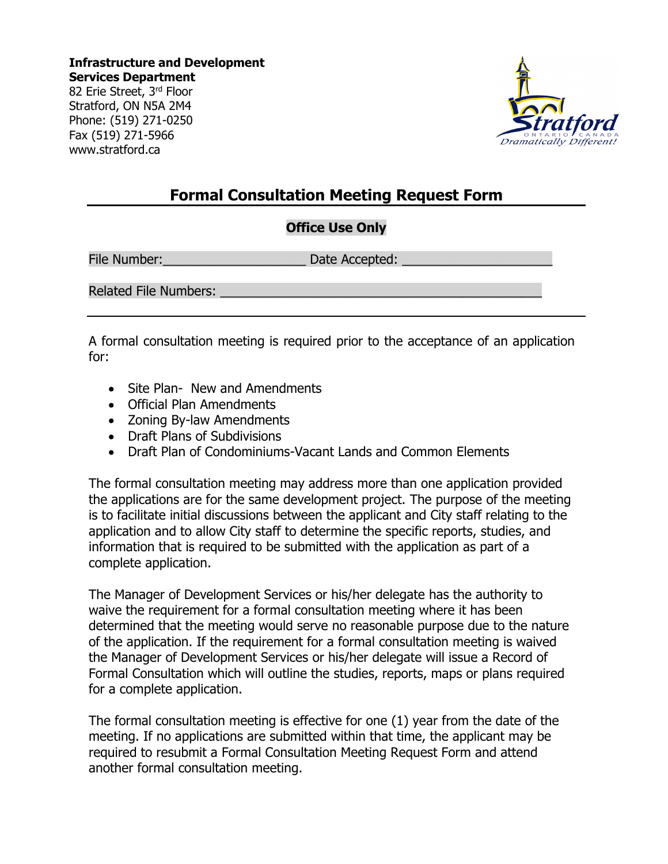**Infrastructure and Development Services Department** 82 Erie Street, 3rd Floor Stratford, ON N5A 2M4 Phone: (519) 271-0250 Fax (519) 271-5966 www.stratford.ca



## **Formal Consultation Meeting Request Form**

### **Office Use Only**

File Number:\_\_\_\_\_\_\_\_\_\_\_\_\_\_\_\_\_\_\_\_ Date Accepted: \_\_\_\_\_\_\_\_\_\_\_\_\_\_\_\_\_\_\_\_\_

Related File Numbers:

A formal consultation meeting is required prior to the acceptance of an application for:

- Site Plan- New and Amendments
- Official Plan Amendments
- Zoning By-law Amendments
- Draft Plans of Subdivisions
- Draft Plan of Condominiums-Vacant Lands and Common Elements

The formal consultation meeting may address more than one application provided the applications are for the same development project. The purpose of the meeting is to facilitate initial discussions between the applicant and City staff relating to the application and to allow City staff to determine the specific reports, studies, and information that is required to be submitted with the application as part of a complete application.

The Manager of Development Services or his/her delegate has the authority to waive the requirement for a formal consultation meeting where it has been determined that the meeting would serve no reasonable purpose due to the nature of the application. If the requirement for a formal consultation meeting is waived the Manager of Development Services or his/her delegate will issue a Record of Formal Consultation which will outline the studies, reports, maps or plans required for a complete application.

The formal consultation meeting is effective for one (1) year from the date of the meeting. If no applications are submitted within that time, the applicant may be required to resubmit a Formal Consultation Meeting Request Form and attend another formal consultation meeting.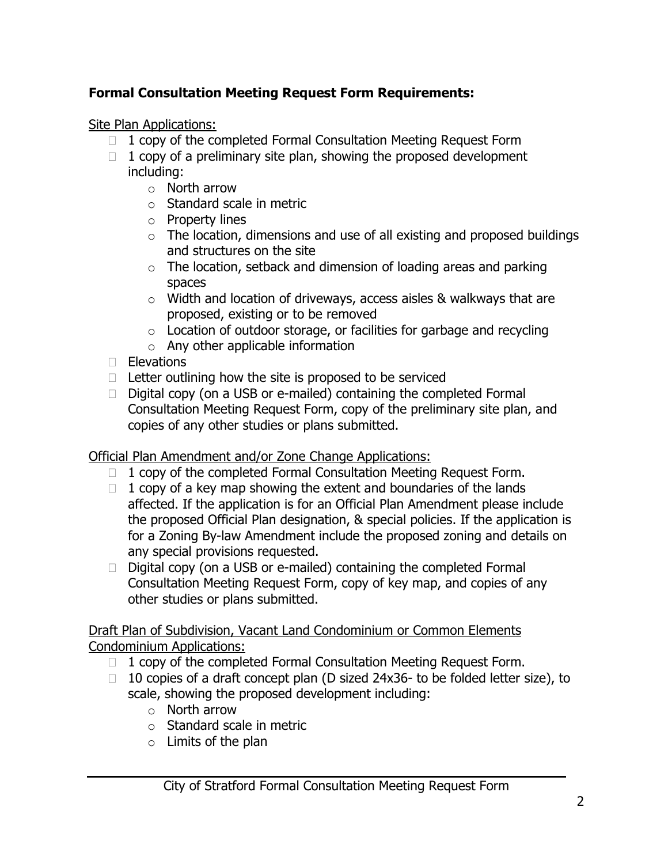## **Formal Consultation Meeting Request Form Requirements:**

Site Plan Applications:

- $\Box$  1 copy of the completed Formal Consultation Meeting Request Form
- $\Box$  1 copy of a preliminary site plan, showing the proposed development including:
	- $\circ$  North arrow
	- o Standard scale in metric
	- o Property lines
	- $\circ$  The location, dimensions and use of all existing and proposed buildings and structures on the site
	- $\circ$  The location, setback and dimension of loading areas and parking spaces
	- o Width and location of driveways, access aisles & walkways that are proposed, existing or to be removed
	- $\circ$  Location of outdoor storage, or facilities for garbage and recycling
	- $\circ$  Any other applicable information
- $\Box$  Elevations
- $\Box$  Letter outlining how the site is proposed to be serviced
- $\Box$  Digital copy (on a USB or e-mailed) containing the completed Formal Consultation Meeting Request Form, copy of the preliminary site plan, and copies of any other studies or plans submitted.

Official Plan Amendment and/or Zone Change Applications:

- $\Box$  1 copy of the completed Formal Consultation Meeting Request Form.
- $\Box$  1 copy of a key map showing the extent and boundaries of the lands affected. If the application is for an Official Plan Amendment please include the proposed Official Plan designation, & special policies. If the application is for a Zoning By-law Amendment include the proposed zoning and details on any special provisions requested.
- $\Box$  Digital copy (on a USB or e-mailed) containing the completed Formal Consultation Meeting Request Form, copy of key map, and copies of any other studies or plans submitted.

Draft Plan of Subdivision, Vacant Land Condominium or Common Elements Condominium Applications:

- $\Box$  1 copy of the completed Formal Consultation Meeting Request Form.
- $\Box$  10 copies of a draft concept plan (D sized 24x36- to be folded letter size), to scale, showing the proposed development including:
	- o North arrow
	- o Standard scale in metric
	- $\circ$  Limits of the plan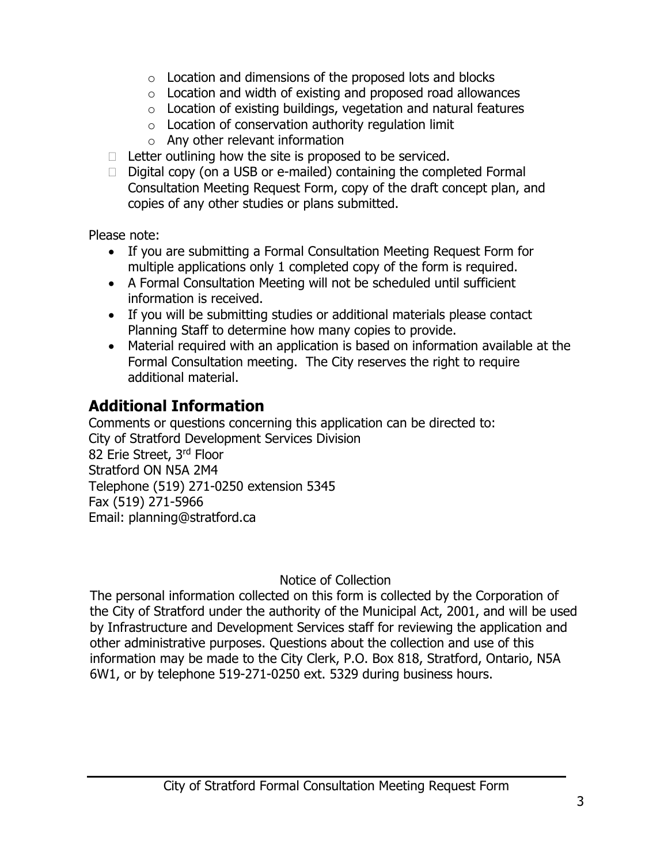- $\circ$  Location and dimensions of the proposed lots and blocks
- o Location and width of existing and proposed road allowances
- $\circ$  Location of existing buildings, vegetation and natural features
- $\circ$  Location of conservation authority regulation limit
- $\circ$  Any other relevant information
- $\Box$  Letter outlining how the site is proposed to be serviced.
- $\Box$  Digital copy (on a USB or e-mailed) containing the completed Formal Consultation Meeting Request Form, copy of the draft concept plan, and copies of any other studies or plans submitted.

Please note:

- If you are submitting a Formal Consultation Meeting Request Form for multiple applications only 1 completed copy of the form is required.
- A Formal Consultation Meeting will not be scheduled until sufficient information is received.
- If you will be submitting studies or additional materials please contact Planning Staff to determine how many copies to provide.
- Material required with an application is based on information available at the Formal Consultation meeting. The City reserves the right to require additional material.

# **Additional Information**

Comments or questions concerning this application can be directed to: City of Stratford Development Services Division 82 Erie Street, 3rd Floor Stratford ON N5A 2M4 Telephone (519) 271-0250 extension 5345 Fax (519) 271-5966 Email: planning@stratford.ca

Notice of Collection

The personal information collected on this form is collected by the Corporation of the City of Stratford under the authority of the Municipal Act, 2001, and will be used by Infrastructure and Development Services staff for reviewing the application and other administrative purposes. Questions about the collection and use of this information may be made to the City Clerk, P.O. Box 818, Stratford, Ontario, N5A 6W1, or by telephone 519-271-0250 ext. 5329 during business hours.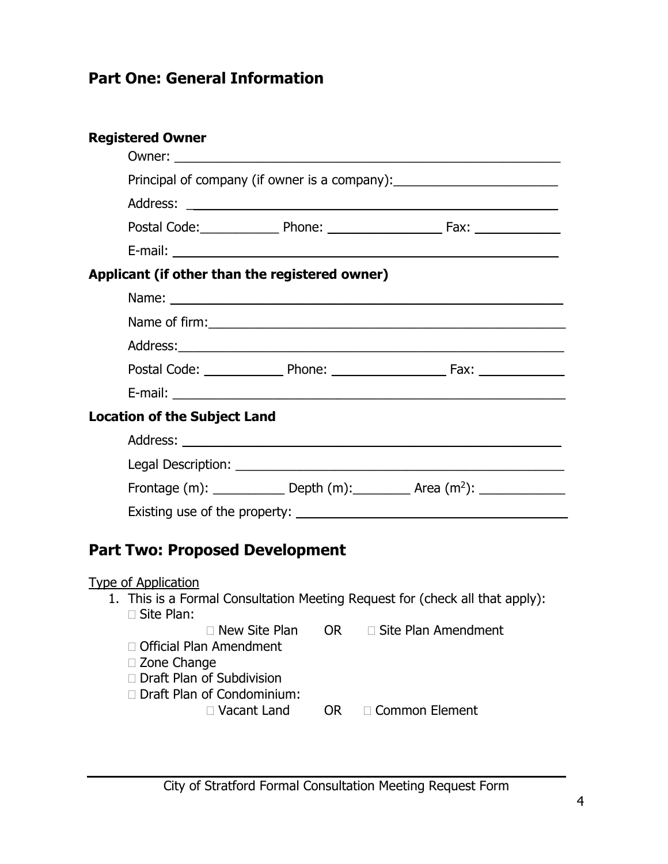## **Part One: General Information**

|                                       | <b>Registered Owner</b>                                                                                                                                                                                                        |  |  |
|---------------------------------------|--------------------------------------------------------------------------------------------------------------------------------------------------------------------------------------------------------------------------------|--|--|
|                                       |                                                                                                                                                                                                                                |  |  |
|                                       | Principal of company (if owner is a company):                                                                                                                                                                                  |  |  |
|                                       |                                                                                                                                                                                                                                |  |  |
|                                       | Postal Code: Postal Code: Phone: 2008. 2008. [2013] Postal Code: 2014. [2013] Postal Code: 2014. [2013] Postal Code: 2014. [2014] Postal Code: 2014. [2014] Postal Code: 2014. [2014] Postal Code: 2014. [2014] Postal Code: 2 |  |  |
|                                       |                                                                                                                                                                                                                                |  |  |
|                                       | Applicant (if other than the registered owner)                                                                                                                                                                                 |  |  |
|                                       |                                                                                                                                                                                                                                |  |  |
|                                       |                                                                                                                                                                                                                                |  |  |
|                                       |                                                                                                                                                                                                                                |  |  |
|                                       |                                                                                                                                                                                                                                |  |  |
|                                       |                                                                                                                                                                                                                                |  |  |
|                                       | <b>Location of the Subject Land</b>                                                                                                                                                                                            |  |  |
|                                       |                                                                                                                                                                                                                                |  |  |
|                                       |                                                                                                                                                                                                                                |  |  |
|                                       | Frontage (m): ______________ Depth (m): __________ Area (m <sup>2</sup> ): _______________                                                                                                                                     |  |  |
|                                       |                                                                                                                                                                                                                                |  |  |
| <b>Part Two: Proposed Development</b> |                                                                                                                                                                                                                                |  |  |
|                                       | <b>Type of Application</b><br>1. This is a Formal Consultation Meeting Request for (check all that apply):<br>□ Site Plan:                                                                                                     |  |  |
|                                       | $\Box$ New Site Plan<br><b>OR</b><br>$\Box$ Site Plan Amendment<br>□ Official Plan Amendment<br>□ Zone Change<br>□ Draft Plan of Subdivision<br>Draft Plan of Condominium:                                                     |  |  |
|                                       | □ Vacant Land<br>□ Common Element<br>OR.                                                                                                                                                                                       |  |  |